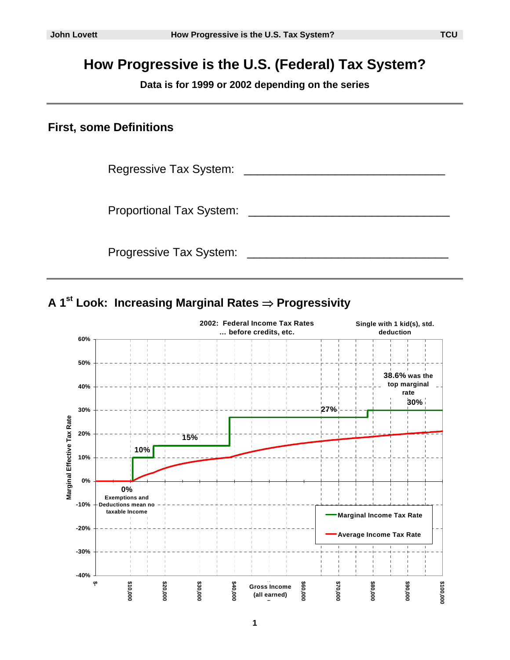## **How Progressive is the U.S. (Federal) Tax System?**

**Data is for 1999 or 2002 depending on the series** 

#### **First, some Definitions**

Regressive Tax System: \_\_\_\_\_\_\_\_\_\_\_\_\_\_\_\_\_\_\_\_\_\_\_\_\_\_\_\_\_\_\_

Proportional Tax System:

Progressive Tax System: \_\_\_\_\_\_\_\_\_\_\_\_\_\_\_\_\_\_\_\_\_\_\_\_\_\_\_\_\_\_\_

### **A 1st Look: Increasing Marginal Rates** ⇒ **Progressivity**

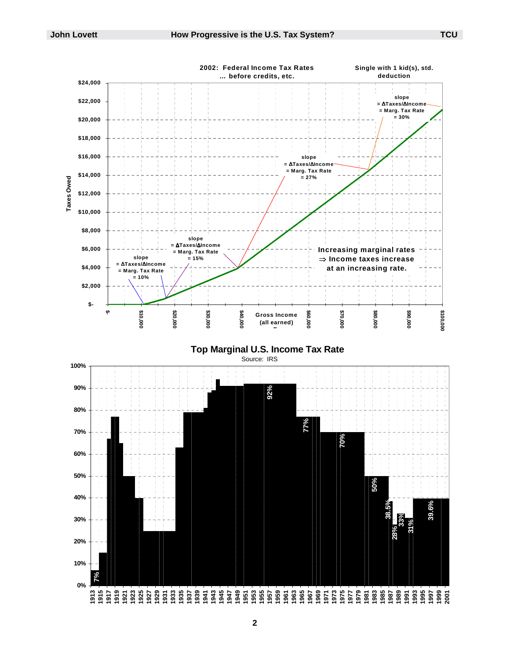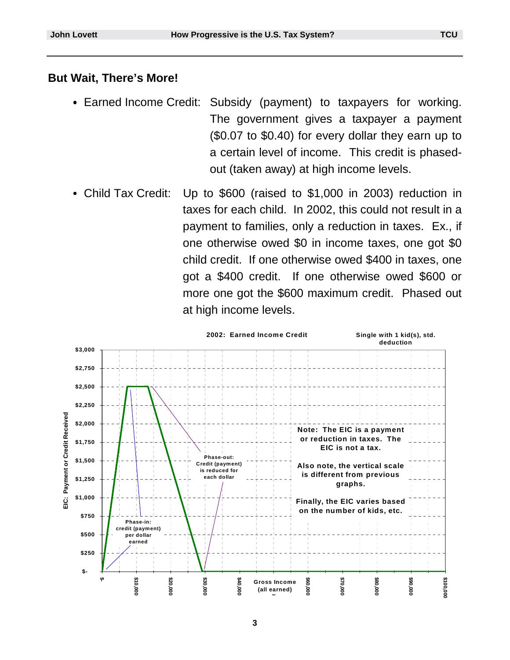#### **But Wait, There's More!**

- Earned Income Credit: Subsidy (payment) to taxpayers for working. The government gives a taxpayer a payment (\$0.07 to \$0.40) for every dollar they earn up to a certain level of income. This credit is phasedout (taken away) at high income levels.
- Child Tax Credit: Up to \$600 (raised to \$1,000 in 2003) reduction in taxes for each child. In 2002, this could not result in a payment to families, only a reduction in taxes. Ex., if one otherwise owed \$0 in income taxes, one got \$0 child credit. If one otherwise owed \$400 in taxes, one got a \$400 credit. If one otherwise owed \$600 or more one got the \$600 maximum credit. Phased out at high income levels.

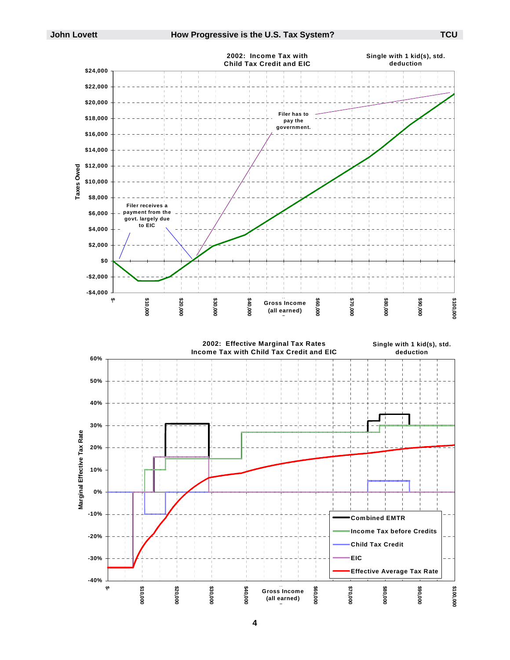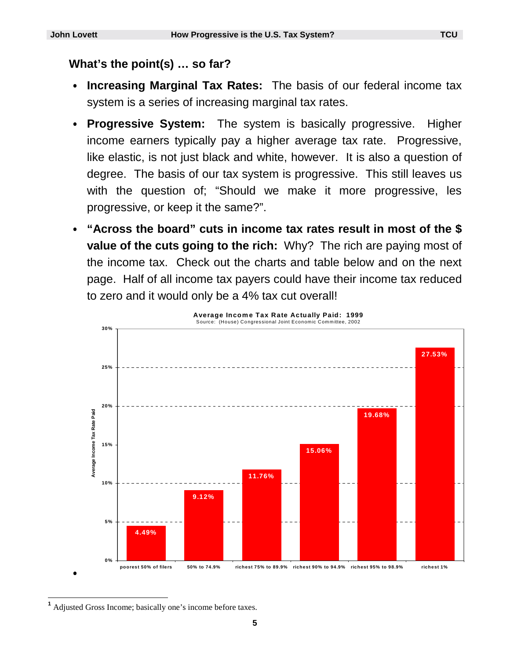# **What's the point(s) … so far?**

- **Increasing Marginal Tax Rates:** The basis of our federal income tax system is a series of increasing marginal tax rates.
- **Progressive System:** The system is basically progressive. Higher income earners typically pay a higher average tax rate. Progressive, like elastic, is not just black and white, however. It is also a question of degree. The basis of our tax system is progressive. This still leaves us with the question of; "Should we make it more progressive, les progressive, or keep it the same?".
- **"Across the board" cuts in income tax rates result in most of the \$ value of the cuts going to the rich:** Why? The rich are paying most of the income tax. Check out the charts and table below and on the next page. Half of all income tax payers could have their income tax reduced to zero and it would only be a 4% tax cut overall!



1 **<sup>1</sup>** Adjusted Gross Income; basically one's income before taxes.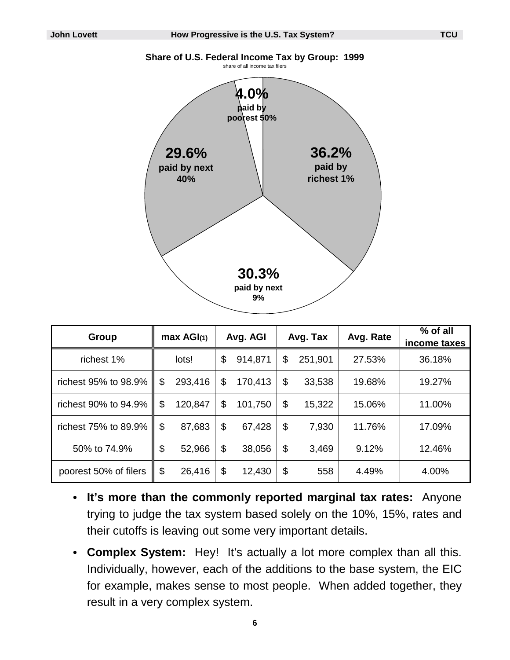

| Group                 | max AGI <sub>(1)</sub> |         | Avg. AGI |         | Avg. Tax |         | Avg. Rate | % of all<br>income taxes |
|-----------------------|------------------------|---------|----------|---------|----------|---------|-----------|--------------------------|
| richest 1%            |                        | lots!   | \$       | 914,871 | \$       | 251,901 | 27.53%    | 36.18%                   |
| richest 95% to 98.9%  | \$                     | 293,416 | \$       | 170,413 | \$       | 33,538  | 19.68%    | 19.27%                   |
| richest 90% to 94.9%  | \$                     | 120,847 | \$       | 101,750 | \$       | 15,322  | 15.06%    | 11.00%                   |
| richest 75% to 89.9%  | \$                     | 87,683  | \$       | 67,428  | \$       | 7,930   | 11.76%    | 17.09%                   |
| 50% to 74.9%          | \$                     | 52,966  | \$       | 38,056  | \$       | 3,469   | 9.12%     | 12.46%                   |
| poorest 50% of filers | \$                     | 26,416  | \$       | 12,430  | \$       | 558     | 4.49%     | 4.00%                    |

- **It's more than the commonly reported marginal tax rates:** Anyone trying to judge the tax system based solely on the 10%, 15%, rates and their cutoffs is leaving out some very important details.
- **Complex System:** Hey! It's actually a lot more complex than all this. Individually, however, each of the additions to the base system, the EIC for example, makes sense to most people. When added together, they result in a very complex system.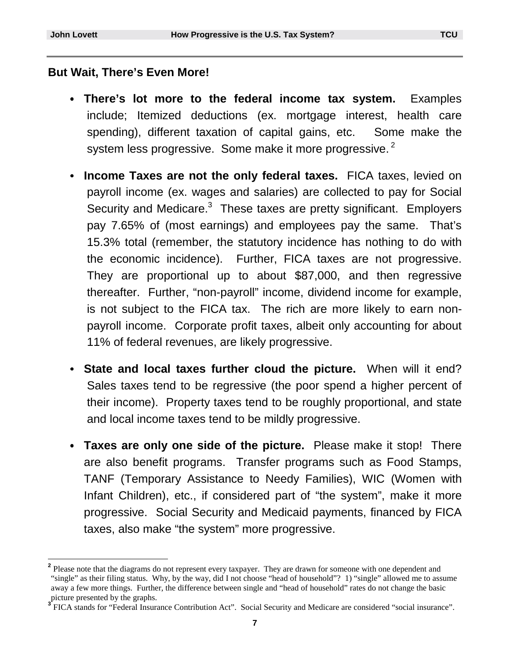<u>.</u>

#### **But Wait, There's Even More!**

- **There's lot more to the federal income tax system.** Examples include; Itemized deductions (ex. mortgage interest, health care spending), different taxation of capital gains, etc. Some make the system less progressive. Some make it more progressive.<sup>2</sup>
- **Income Taxes are not the only federal taxes.** FICA taxes, levied on payroll income (ex. wages and salaries) are collected to pay for Social Security and Medicare.<sup>3</sup> These taxes are pretty significant. Employers pay 7.65% of (most earnings) and employees pay the same. That's 15.3% total (remember, the statutory incidence has nothing to do with the economic incidence). Further, FICA taxes are not progressive. They are proportional up to about \$87,000, and then regressive thereafter. Further, "non-payroll" income, dividend income for example, is not subject to the FICA tax. The rich are more likely to earn nonpayroll income. Corporate profit taxes, albeit only accounting for about 11% of federal revenues, are likely progressive.
- **State and local taxes further cloud the picture.** When will it end? Sales taxes tend to be regressive (the poor spend a higher percent of their income). Property taxes tend to be roughly proportional, and state and local income taxes tend to be mildly progressive.
- **Taxes are only one side of the picture.** Please make it stop! There are also benefit programs. Transfer programs such as Food Stamps, TANF (Temporary Assistance to Needy Families), WIC (Women with Infant Children), etc., if considered part of "the system", make it more progressive. Social Security and Medicaid payments, financed by FICA taxes, also make "the system" more progressive.

<sup>&</sup>lt;sup>2</sup> Please note that the diagrams do not represent every taxpayer. They are drawn for someone with one dependent and "single" as their filing status. Why, by the way, did I not choose "head of household"? 1) "single" allowed me to assume

away a few more things. Further, the difference between single and "head of household" rates do not change the basic picture presented by the graphs.

**<sup>3</sup>** FICA stands for "Federal Insurance Contribution Act". Social Security and Medicare are considered "social insurance".